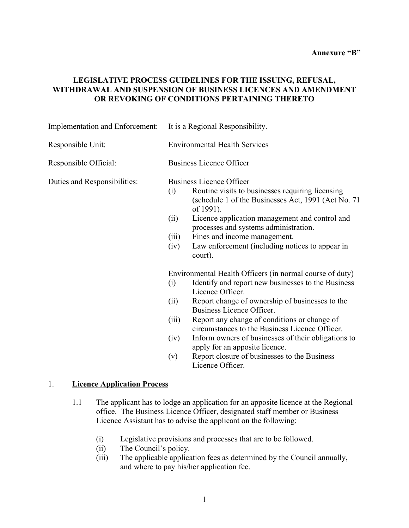### **LEGISLATIVE PROCESS GUIDELINES FOR THE ISSUING, REFUSAL, WITHDRAWAL AND SUSPENSION OF BUSINESS LICENCES AND AMENDMENT OR REVOKING OF CONDITIONS PERTAINING THERETO**

| Implementation and Enforcement:          | It is a Regional Responsibility.                                                                                                                                                                                                                                                                                                                                                                                                                                                                                         |  |  |
|------------------------------------------|--------------------------------------------------------------------------------------------------------------------------------------------------------------------------------------------------------------------------------------------------------------------------------------------------------------------------------------------------------------------------------------------------------------------------------------------------------------------------------------------------------------------------|--|--|
| Responsible Unit:                        | <b>Environmental Health Services</b>                                                                                                                                                                                                                                                                                                                                                                                                                                                                                     |  |  |
| Responsible Official:                    | <b>Business Licence Officer</b>                                                                                                                                                                                                                                                                                                                                                                                                                                                                                          |  |  |
| Duties and Responsibilities:             | <b>Business Licence Officer</b><br>Routine visits to businesses requiring licensing<br>(i)<br>(schedule 1 of the Businesses Act, 1991 (Act No. 71)<br>of 1991).<br>Licence application management and control and<br>(ii)<br>processes and systems administration.<br>Fines and income management.<br>(iii)<br>Law enforcement (including notices to appear in<br>(iv)<br>court).                                                                                                                                        |  |  |
|                                          | Environmental Health Officers (in normal course of duty)<br>Identify and report new businesses to the Business<br>(i)<br>Licence Officer.<br>Report change of ownership of businesses to the<br>(ii)<br>Business Licence Officer.<br>Report any change of conditions or change of<br>(iii)<br>circumstances to the Business Licence Officer.<br>(iv)<br>Inform owners of businesses of their obligations to<br>apply for an apposite licence.<br>Report closure of businesses to the Business<br>(v)<br>Licence Officer. |  |  |
| 1.<br><b>Licence Application Process</b> |                                                                                                                                                                                                                                                                                                                                                                                                                                                                                                                          |  |  |

- 1.1 The applicant has to lodge an application for an apposite licence at the Regional office. The Business Licence Officer, designated staff member or Business Licence Assistant has to advise the applicant on the following:
	- (i) Legislative provisions and processes that are to be followed.
	- $(ii)$  The Council's policy.
	- (iii) The applicable application fees as determined by the Council annually, and where to pay his/her application fee.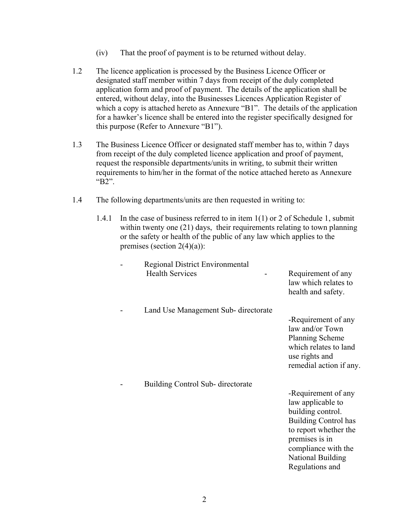- (iv) That the proof of payment is to be returned without delay.
- 1.2 The licence application is processed by the Business Licence Officer or designated staff member within 7 days from receipt of the duly completed application form and proof of payment. The details of the application shall be entered, without delay, into the Businesses Licences Application Register of which a copy is attached hereto as Annexure  $B1$ . The details of the application for a hawker's licence shall be entered into the register specifically designed for this purpose (Refer to Annexure  $\text{``B1''}$ ).
- 1.3 The Business Licence Officer or designated staff member has to, within 7 days from receipt of the duly completed licence application and proof of payment, request the responsible departments/units in writing, to submit their written requirements to him/her in the format of the notice attached hereto as Annexure " $B2$ ".
- 1.4 The following departments/units are then requested in writing to:
	- 1.4.1 In the case of business referred to in item 1(1) or 2 of Schedule 1, submit within twenty one (21) days, their requirements relating to town planning or the safety or health of the public of any law which applies to the premises (section  $2(4)(a)$ ):

| Regional District Environmental<br><b>Health Services</b> | Requirement of any<br>law which relates to<br>health and safety.                                                                                                                                       |
|-----------------------------------------------------------|--------------------------------------------------------------------------------------------------------------------------------------------------------------------------------------------------------|
| Land Use Management Sub-directorate                       | -Requirement of any<br>law and/or Town<br><b>Planning Scheme</b><br>which relates to land<br>use rights and<br>remedial action if any.                                                                 |
| Building Control Sub-directorate                          |                                                                                                                                                                                                        |
|                                                           | -Requirement of any<br>law applicable to<br>building control.<br><b>Building Control has</b><br>to report whether the<br>premises is in<br>compliance with the<br>National Building<br>Regulations and |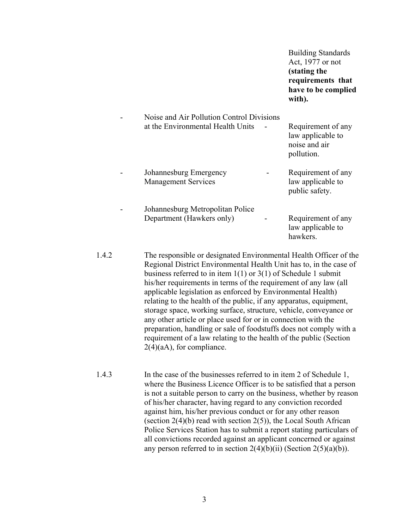|       |                                                                                                                                                                                                                                                                                                                                                                                                                        | <b>Building Standards</b><br>Act, 1977 or not<br>(stating the<br>requirements that<br>have to be complied<br>with). |
|-------|------------------------------------------------------------------------------------------------------------------------------------------------------------------------------------------------------------------------------------------------------------------------------------------------------------------------------------------------------------------------------------------------------------------------|---------------------------------------------------------------------------------------------------------------------|
|       | Noise and Air Pollution Control Divisions<br>at the Environmental Health Units                                                                                                                                                                                                                                                                                                                                         | Requirement of any<br>law applicable to<br>noise and air<br>pollution.                                              |
|       | Johannesburg Emergency<br><b>Management Services</b>                                                                                                                                                                                                                                                                                                                                                                   | Requirement of any<br>law applicable to<br>public safety.                                                           |
|       | Johannesburg Metropolitan Police<br>Department (Hawkers only)                                                                                                                                                                                                                                                                                                                                                          | Requirement of any<br>law applicable to<br>hawkers.                                                                 |
| 1.4.2 | The responsible or designated Environmental Health Officer of the<br>Regional District Environmental Health Unit has to, in the case of<br>business referred to in item $1(1)$ or $3(1)$ of Schedule 1 submit<br>his/her requirements in terms of the requirement of any law (all<br>applicable legislation as enforced by Environmental Health)<br>relating to the health of the public, if any apparatus, equipment, |                                                                                                                     |

relating to the health of the public, if any apparatus, equipment, storage space, working surface, structure, vehicle, conveyance or any other article or place used for or in connection with the preparation, handling or sale of foodstuffs does not comply with a requirement of a law relating to the health of the public (Section 2(4)(aA), for compliance.

1.4.3 In the case of the businesses referred to in item 2 of Schedule 1, where the Business Licence Officer is to be satisfied that a person is not a suitable person to carry on the business, whether by reason of his/her character, having regard to any conviction recorded against him, his/her previous conduct or for any other reason (section 2(4)(b) read with section 2(5)), the Local South African Police Services Station has to submit a report stating particulars of all convictions recorded against an applicant concerned or against any person referred to in section  $2(4)(b)(ii)$  (Section  $2(5)(a)(b)$ ).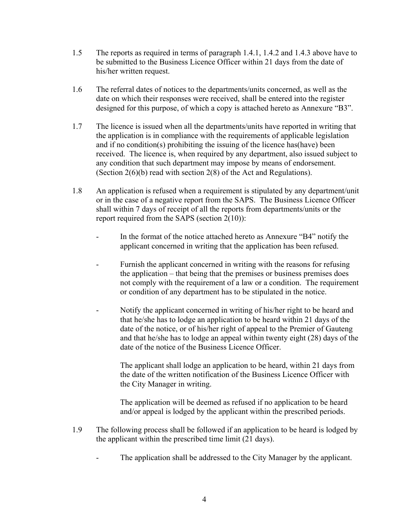- 1.5 The reports as required in terms of paragraph 1.4.1, 1.4.2 and 1.4.3 above have to be submitted to the Business Licence Officer within 21 days from the date of his/her written request.
- 1.6 The referral dates of notices to the departments/units concerned, as well as the date on which their responses were received, shall be entered into the register designed for this purpose, of which a copy is attached hereto as Annexure "B3".
- 1.7 The licence is issued when all the departments/units have reported in writing that the application is in compliance with the requirements of applicable legislation and if no condition(s) prohibiting the issuing of the licence has(have) been received. The licence is, when required by any department, also issued subject to any condition that such department may impose by means of endorsement. (Section 2(6)(b) read with section 2(8) of the Act and Regulations).
- 1.8 An application is refused when a requirement is stipulated by any department/unit or in the case of a negative report from the SAPS. The Business Licence Officer shall within 7 days of receipt of all the reports from departments/units or the report required from the SAPS (section 2(10)):
	- In the format of the notice attached hereto as Annexure "B4" notify the applicant concerned in writing that the application has been refused.
	- Furnish the applicant concerned in writing with the reasons for refusing the application  $-$  that being that the premises or business premises does not comply with the requirement of a law or a condition. The requirement or condition of any department has to be stipulated in the notice.
	- Notify the applicant concerned in writing of his/her right to be heard and that he/she has to lodge an application to be heard within 21 days of the date of the notice, or of his/her right of appeal to the Premier of Gauteng and that he/she has to lodge an appeal within twenty eight (28) days of the date of the notice of the Business Licence Officer.

The applicant shall lodge an application to be heard, within 21 days from the date of the written notification of the Business Licence Officer with the City Manager in writing.

The application will be deemed as refused if no application to be heard and/or appeal is lodged by the applicant within the prescribed periods.

- 1.9 The following process shall be followed if an application to be heard is lodged by the applicant within the prescribed time limit (21 days).
	- The application shall be addressed to the City Manager by the applicant.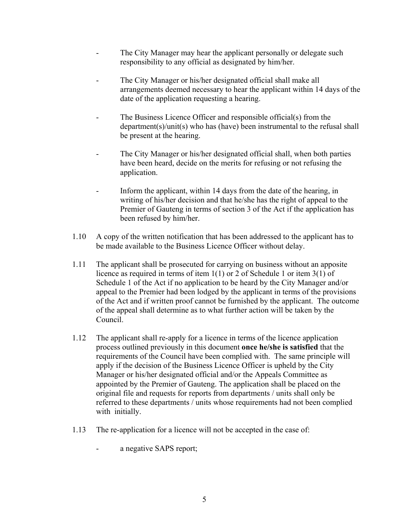- The City Manager may hear the applicant personally or delegate such responsibility to any official as designated by him/her.
- The City Manager or his/her designated official shall make all arrangements deemed necessary to hear the applicant within 14 days of the date of the application requesting a hearing.
- The Business Licence Officer and responsible official(s) from the department(s)/unit(s) who has (have) been instrumental to the refusal shall be present at the hearing.
- The City Manager or his/her designated official shall, when both parties have been heard, decide on the merits for refusing or not refusing the application.
- Inform the applicant, within 14 days from the date of the hearing, in writing of his/her decision and that he/she has the right of appeal to the Premier of Gauteng in terms of section 3 of the Act if the application has been refused by him/her.
- 1.10 A copy of the written notification that has been addressed to the applicant has to be made available to the Business Licence Officer without delay.
- 1.11 The applicant shall be prosecuted for carrying on business without an apposite licence as required in terms of item 1(1) or 2 of Schedule 1 or item 3(1) of Schedule 1 of the Act if no application to be heard by the City Manager and/or appeal to the Premier had been lodged by the applicant in terms of the provisions of the Act and if written proof cannot be furnished by the applicant. The outcome of the appeal shall determine as to what further action will be taken by the Council.
- 1.12 The applicant shall re-apply for a licence in terms of the licence application process outlined previously in this document **once he/she is satisfied** that the requirements of the Council have been complied with. The same principle will apply if the decision of the Business Licence Officer is upheld by the City Manager or his/her designated official and/or the Appeals Committee as appointed by the Premier of Gauteng. The application shall be placed on the original file and requests for reports from departments / units shall only be referred to these departments / units whose requirements had not been complied with initially.
- 1.13 The re-application for a licence will not be accepted in the case of:
	- a negative SAPS report;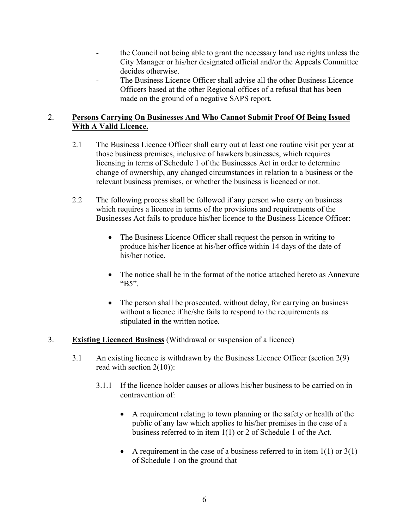- the Council not being able to grant the necessary land use rights unless the City Manager or his/her designated official and/or the Appeals Committee decides otherwise.
- The Business Licence Officer shall advise all the other Business Licence Officers based at the other Regional offices of a refusal that has been made on the ground of a negative SAPS report.

## 2. **Persons Carrying On Businesses And Who Cannot Submit Proof Of Being Issued With A Valid Licence.**

- 2.1 The Business Licence Officer shall carry out at least one routine visit per year at those business premises, inclusive of hawkers businesses, which requires licensing in terms of Schedule 1 of the Businesses Act in order to determine change of ownership, any changed circumstances in relation to a business or the relevant business premises, or whether the business is licenced or not.
- 2.2 The following process shall be followed if any person who carry on business which requires a licence in terms of the provisions and requirements of the Businesses Act fails to produce his/her licence to the Business Licence Officer:
	- The Business Licence Officer shall request the person in writing to produce his/her licence at his/her office within 14 days of the date of his/her notice.
	- The notice shall be in the format of the notice attached hereto as Annexure " $B5$ ".
	- The person shall be prosecuted, without delay, for carrying on business without a licence if he/she fails to respond to the requirements as stipulated in the written notice.
- 3. **Existing Licenced Business** (Withdrawal or suspension of a licence)
	- 3.1 An existing licence is withdrawn by the Business Licence Officer (section 2(9) read with section 2(10)):
		- 3.1.1 If the licence holder causes or allows his/her business to be carried on in contravention of:
			- A requirement relating to town planning or the safety or health of the public of any law which applies to his/her premises in the case of a business referred to in item 1(1) or 2 of Schedule 1 of the Act.
			- A requirement in the case of a business referred to in item  $1(1)$  or  $3(1)$ of Schedule 1 on the ground that  $-$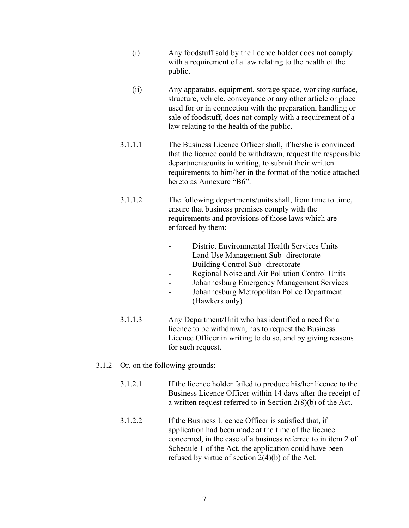- (i) Any foodstuff sold by the licence holder does not comply with a requirement of a law relating to the health of the public.
- (ii) Any apparatus, equipment, storage space, working surface, structure, vehicle, conveyance or any other article or place used for or in connection with the preparation, handling or sale of foodstuff, does not comply with a requirement of a law relating to the health of the public.
- 3.1.1.1 The Business Licence Officer shall, if he/she is convinced that the licence could be withdrawn, request the responsible departments/units in writing, to submit their written requirements to him/her in the format of the notice attached hereto as Annexure "B6"
- 3.1.1.2 The following departments/units shall, from time to time, ensure that business premises comply with the requirements and provisions of those laws which are enforced by them:
	- District Environmental Health Services Units
	- Land Use Management Sub- directorate
	- Building Control Sub- directorate
	- Regional Noise and Air Pollution Control Units
	- Johannesburg Emergency Management Services
	- Johannesburg Metropolitan Police Department (Hawkers only)
- 3.1.1.3 Any Department/Unit who has identified a need for a licence to be withdrawn, has to request the Business Licence Officer in writing to do so, and by giving reasons for such request.
- 3.1.2 Or, on the following grounds;
	- 3.1.2.1 If the licence holder failed to produce his/her licence to the Business Licence Officer within 14 days after the receipt of a written request referred to in Section 2(8)(b) of the Act.
	- 3.1.2.2 If the Business Licence Officer is satisfied that, if application had been made at the time of the licence concerned, in the case of a business referred to in item 2 of Schedule 1 of the Act, the application could have been refused by virtue of section 2(4)(b) of the Act.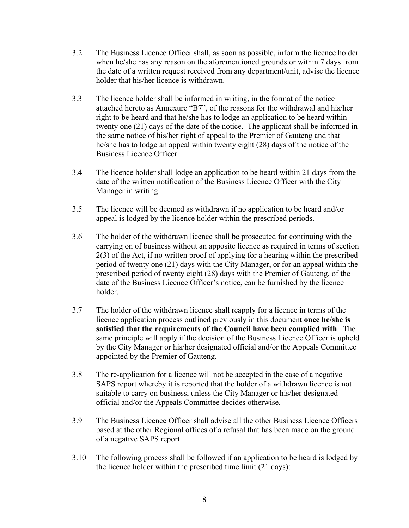- 3.2 The Business Licence Officer shall, as soon as possible, inform the licence holder when he/she has any reason on the aforementioned grounds or within 7 days from the date of a written request received from any department/unit, advise the licence holder that his/her licence is withdrawn.
- 3.3 The licence holder shall be informed in writing, in the format of the notice attached hereto as Annexure "B7", of the reasons for the withdrawal and his/her right to be heard and that he/she has to lodge an application to be heard within twenty one (21) days of the date of the notice. The applicant shall be informed in the same notice of his/her right of appeal to the Premier of Gauteng and that he/she has to lodge an appeal within twenty eight (28) days of the notice of the Business Licence Officer.
- 3.4 The licence holder shall lodge an application to be heard within 21 days from the date of the written notification of the Business Licence Officer with the City Manager in writing.
- 3.5 The licence will be deemed as withdrawn if no application to be heard and/or appeal is lodged by the licence holder within the prescribed periods.
- 3.6 The holder of the withdrawn licence shall be prosecuted for continuing with the carrying on of business without an apposite licence as required in terms of section 2(3) of the Act, if no written proof of applying for a hearing within the prescribed period of twenty one (21) days with the City Manager, or for an appeal within the prescribed period of twenty eight (28) days with the Premier of Gauteng, of the date of the Business Licence Officer's notice, can be furnished by the licence holder.
- 3.7 The holder of the withdrawn licence shall reapply for a licence in terms of the licence application process outlined previously in this document **once he/she is satisfied that the requirements of the Council have been complied with**. The same principle will apply if the decision of the Business Licence Officer is upheld by the City Manager or his/her designated official and/or the Appeals Committee appointed by the Premier of Gauteng.
- 3.8 The re-application for a licence will not be accepted in the case of a negative SAPS report whereby it is reported that the holder of a withdrawn licence is not suitable to carry on business, unless the City Manager or his/her designated official and/or the Appeals Committee decides otherwise.
- 3.9 The Business Licence Officer shall advise all the other Business Licence Officers based at the other Regional offices of a refusal that has been made on the ground of a negative SAPS report.
- 3.10 The following process shall be followed if an application to be heard is lodged by the licence holder within the prescribed time limit (21 days):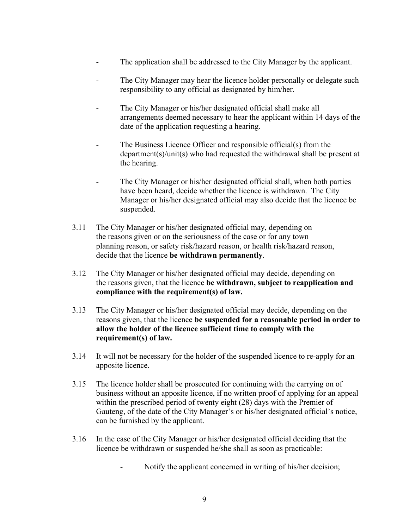- The application shall be addressed to the City Manager by the applicant.
- The City Manager may hear the licence holder personally or delegate such responsibility to any official as designated by him/her.
- The City Manager or his/her designated official shall make all arrangements deemed necessary to hear the applicant within 14 days of the date of the application requesting a hearing.
- The Business Licence Officer and responsible official(s) from the department(s)/unit(s) who had requested the withdrawal shall be present at the hearing.
- The City Manager or his/her designated official shall, when both parties have been heard, decide whether the licence is withdrawn. The City Manager or his/her designated official may also decide that the licence be suspended.
- 3.11 The City Manager or his/her designated official may, depending on the reasons given or on the seriousness of the case or for any town planning reason, or safety risk/hazard reason, or health risk/hazard reason, decide that the licence **be withdrawn permanently**.
- 3.12 The City Manager or his/her designated official may decide, depending on the reasons given, that the licence **be withdrawn, subject to reapplication and compliance with the requirement(s) of law.**
- 3.13 The City Manager or his/her designated official may decide, depending on the reasons given, that the licence **be suspended for a reasonable period in order to allow the holder of the licence sufficient time to comply with the requirement(s) of law.**
- 3.14 It will not be necessary for the holder of the suspended licence to re-apply for an apposite licence.
- 3.15 The licence holder shall be prosecuted for continuing with the carrying on of business without an apposite licence, if no written proof of applying for an appeal within the prescribed period of twenty eight (28) days with the Premier of Gauteng, of the date of the City Manager's or his/her designated official's notice, can be furnished by the applicant.
- 3.16 In the case of the City Manager or his/her designated official deciding that the licence be withdrawn or suspended he/she shall as soon as practicable:
	- Notify the applicant concerned in writing of his/her decision;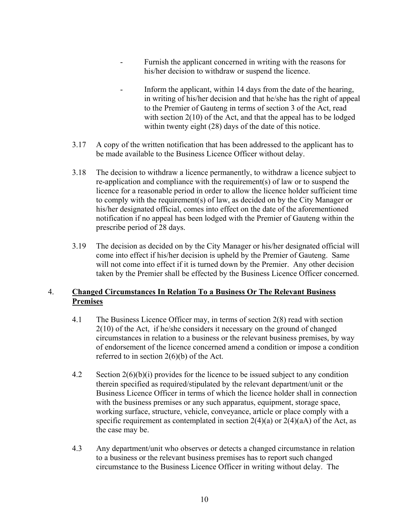- Furnish the applicant concerned in writing with the reasons for his/her decision to withdraw or suspend the licence.
- Inform the applicant, within 14 days from the date of the hearing, in writing of his/her decision and that he/she has the right of appeal to the Premier of Gauteng in terms of section 3 of the Act, read with section 2(10) of the Act, and that the appeal has to be lodged within twenty eight (28) days of the date of this notice.
- 3.17 A copy of the written notification that has been addressed to the applicant has to be made available to the Business Licence Officer without delay.
- 3.18 The decision to withdraw a licence permanently, to withdraw a licence subject to re-application and compliance with the requirement(s) of law or to suspend the licence for a reasonable period in order to allow the licence holder sufficient time to comply with the requirement(s) of law, as decided on by the City Manager or his/her designated official, comes into effect on the date of the aforementioned notification if no appeal has been lodged with the Premier of Gauteng within the prescribe period of 28 days.
- 3.19 The decision as decided on by the City Manager or his/her designated official will come into effect if his/her decision is upheld by the Premier of Gauteng. Same will not come into effect if it is turned down by the Premier. Any other decision taken by the Premier shall be effected by the Business Licence Officer concerned.

## 4. **Changed Circumstances In Relation To a Business Or The Relevant Business Premises**

- 4.1 The Business Licence Officer may, in terms of section 2(8) read with section 2(10) of the Act, if he/she considers it necessary on the ground of changed circumstances in relation to a business or the relevant business premises, by way of endorsement of the licence concerned amend a condition or impose a condition referred to in section 2(6)(b) of the Act.
- 4.2 Section 2(6)(b)(i) provides for the licence to be issued subject to any condition therein specified as required/stipulated by the relevant department/unit or the Business Licence Officer in terms of which the licence holder shall in connection with the business premises or any such apparatus, equipment, storage space, working surface, structure, vehicle, conveyance, article or place comply with a specific requirement as contemplated in section  $2(4)(a)$  or  $2(4)(aA)$  of the Act, as the case may be.
- 4.3 Any department/unit who observes or detects a changed circumstance in relation to a business or the relevant business premises has to report such changed circumstance to the Business Licence Officer in writing without delay. The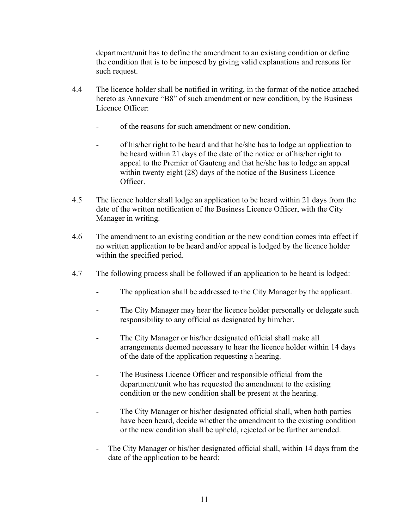department/unit has to define the amendment to an existing condition or define the condition that is to be imposed by giving valid explanations and reasons for such request.

- 4.4 The licence holder shall be notified in writing, in the format of the notice attached hereto as Annexure "B8" of such amendment or new condition, by the Business Licence Officer:
	- of the reasons for such amendment or new condition.
	- of his/her right to be heard and that he/she has to lodge an application to be heard within 21 days of the date of the notice or of his/her right to appeal to the Premier of Gauteng and that he/she has to lodge an appeal within twenty eight (28) days of the notice of the Business Licence Officer.
- 4.5 The licence holder shall lodge an application to be heard within 21 days from the date of the written notification of the Business Licence Officer, with the City Manager in writing.
- 4.6 The amendment to an existing condition or the new condition comes into effect if no written application to be heard and/or appeal is lodged by the licence holder within the specified period.
- 4.7 The following process shall be followed if an application to be heard is lodged:
	- The application shall be addressed to the City Manager by the applicant.
	- The City Manager may hear the licence holder personally or delegate such responsibility to any official as designated by him/her.
	- The City Manager or his/her designated official shall make all arrangements deemed necessary to hear the licence holder within 14 days of the date of the application requesting a hearing.
	- The Business Licence Officer and responsible official from the department/unit who has requested the amendment to the existing condition or the new condition shall be present at the hearing.
	- The City Manager or his/her designated official shall, when both parties have been heard, decide whether the amendment to the existing condition or the new condition shall be upheld, rejected or be further amended.
	- The City Manager or his/her designated official shall, within 14 days from the date of the application to be heard: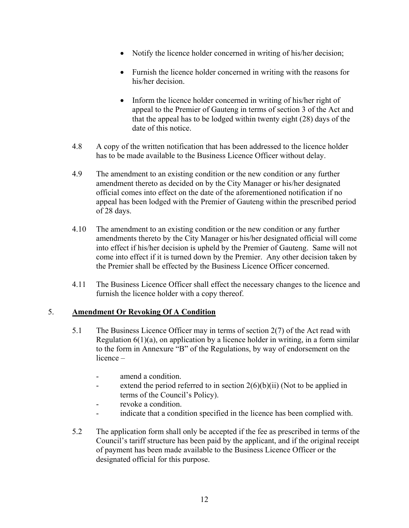- $\bullet$  Notify the licence holder concerned in writing of his/her decision;
- Furnish the licence holder concerned in writing with the reasons for his/her decision.
- $\bullet$  Inform the licence holder concerned in writing of his/her right of appeal to the Premier of Gauteng in terms of section 3 of the Act and that the appeal has to be lodged within twenty eight (28) days of the date of this notice.
- 4.8 A copy of the written notification that has been addressed to the licence holder has to be made available to the Business Licence Officer without delay.
- 4.9 The amendment to an existing condition or the new condition or any further amendment thereto as decided on by the City Manager or his/her designated official comes into effect on the date of the aforementioned notification if no appeal has been lodged with the Premier of Gauteng within the prescribed period of 28 days.
- 4.10 The amendment to an existing condition or the new condition or any further amendments thereto by the City Manager or his/her designated official will come into effect if his/her decision is upheld by the Premier of Gauteng. Same will not come into effect if it is turned down by the Premier. Any other decision taken by the Premier shall be effected by the Business Licence Officer concerned.
- 4.11 The Business Licence Officer shall effect the necessary changes to the licence and furnish the licence holder with a copy thereof.

### 5. **Amendment Or Revoking Of A Condition**

- 5.1 The Business Licence Officer may in terms of section 2(7) of the Act read with Regulation  $6(1)(a)$ , on application by a licence holder in writing, in a form similar to the form in Annexure "B" of the Regulations, by way of endorsement on the  $licence$ 
	- amend a condition.
	- extend the period referred to in section  $2(6)(b)(ii)$  (Not to be applied in terms of the Council's Policy).
	- revoke a condition.
	- indicate that a condition specified in the licence has been complied with.
- 5.2 The application form shall only be accepted if the fee as prescribed in terms of the Council's tariff structure has been paid by the applicant, and if the original receipt of payment has been made available to the Business Licence Officer or the designated official for this purpose.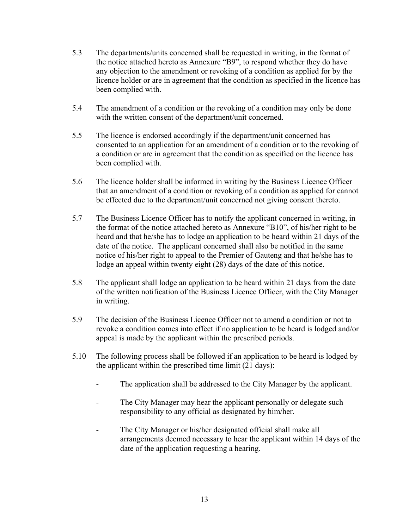- 5.3 The departments/units concerned shall be requested in writing, in the format of the notice attached hereto as Annexure "B9", to respond whether they do have any objection to the amendment or revoking of a condition as applied for by the licence holder or are in agreement that the condition as specified in the licence has been complied with.
- 5.4 The amendment of a condition or the revoking of a condition may only be done with the written consent of the department/unit concerned.
- 5.5 The licence is endorsed accordingly if the department/unit concerned has consented to an application for an amendment of a condition or to the revoking of a condition or are in agreement that the condition as specified on the licence has been complied with.
- 5.6 The licence holder shall be informed in writing by the Business Licence Officer that an amendment of a condition or revoking of a condition as applied for cannot be effected due to the department/unit concerned not giving consent thereto.
- 5.7 The Business Licence Officer has to notify the applicant concerned in writing, in the format of the notice attached hereto as Annexure " $B10$ ", of his/her right to be heard and that he/she has to lodge an application to be heard within 21 days of the date of the notice. The applicant concerned shall also be notified in the same notice of his/her right to appeal to the Premier of Gauteng and that he/she has to lodge an appeal within twenty eight (28) days of the date of this notice.
- 5.8 The applicant shall lodge an application to be heard within 21 days from the date of the written notification of the Business Licence Officer, with the City Manager in writing.
- 5.9 The decision of the Business Licence Officer not to amend a condition or not to revoke a condition comes into effect if no application to be heard is lodged and/or appeal is made by the applicant within the prescribed periods.
- 5.10 The following process shall be followed if an application to be heard is lodged by the applicant within the prescribed time limit (21 days):
	- The application shall be addressed to the City Manager by the applicant.
	- The City Manager may hear the applicant personally or delegate such responsibility to any official as designated by him/her.
	- The City Manager or his/her designated official shall make all arrangements deemed necessary to hear the applicant within 14 days of the date of the application requesting a hearing.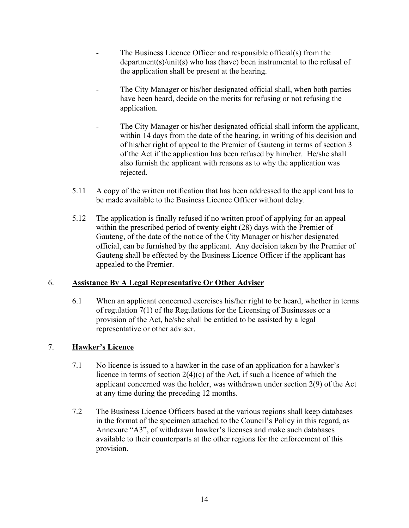- The Business Licence Officer and responsible official(s) from the department(s)/unit(s) who has (have) been instrumental to the refusal of the application shall be present at the hearing.
- The City Manager or his/her designated official shall, when both parties have been heard, decide on the merits for refusing or not refusing the application.
- The City Manager or his/her designated official shall inform the applicant, within 14 days from the date of the hearing, in writing of his decision and of his/her right of appeal to the Premier of Gauteng in terms of section 3 of the Act if the application has been refused by him/her. He/she shall also furnish the applicant with reasons as to why the application was rejected.
- 5.11 A copy of the written notification that has been addressed to the applicant has to be made available to the Business Licence Officer without delay.
- 5.12 The application is finally refused if no written proof of applying for an appeal within the prescribed period of twenty eight (28) days with the Premier of Gauteng, of the date of the notice of the City Manager or his/her designated official, can be furnished by the applicant. Any decision taken by the Premier of Gauteng shall be effected by the Business Licence Officer if the applicant has appealed to the Premier.

# 6. **Assistance By A Legal Representative Or Other Adviser**

6.1 When an applicant concerned exercises his/her right to be heard, whether in terms of regulation 7(1) of the Regulations for the Licensing of Businesses or a provision of the Act, he/she shall be entitled to be assisted by a legal representative or other adviser.

# 7. **Hawker's Licence**

- 7.1 No licence is issued to a hawker in the case of an application for a hawker's licence in terms of section 2(4)(c) of the Act, if such a licence of which the applicant concerned was the holder, was withdrawn under section 2(9) of the Act at any time during the preceding 12 months.
- 7.2 The Business Licence Officers based at the various regions shall keep databases in the format of the specimen attached to the Council's Policy in this regard, as Annexure "A3", of withdrawn hawker's licenses and make such databases available to their counterparts at the other regions for the enforcement of this provision.